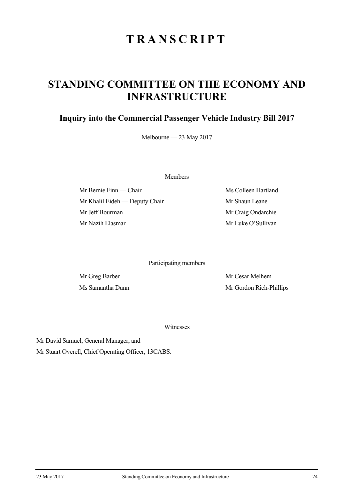# **TRANSCRIPT**

## **STANDING COMMITTEE ON THE ECONOMY AND INFRASTRUCTURE**

## **Inquiry into the Commercial Passenger Vehicle Industry Bill 2017**

Melbourne — 23 May 2017

Members

Mr Bernie Finn — Chair Ms Colleen Hartland Mr Khalil Eideh — Deputy Chair Mr Shaun Leane Mr Jeff Bourman Mr Craig Ondarchie Mr Nazih Elasmar Mr Luke O'Sullivan

Participating members

Mr Greg Barber Mr Cesar Melhem Ms Samantha Dunn Mr Gordon Rich-Phillips

Witnesses

Mr David Samuel, General Manager, and

Mr Stuart Overell, Chief Operating Officer, 13CABS.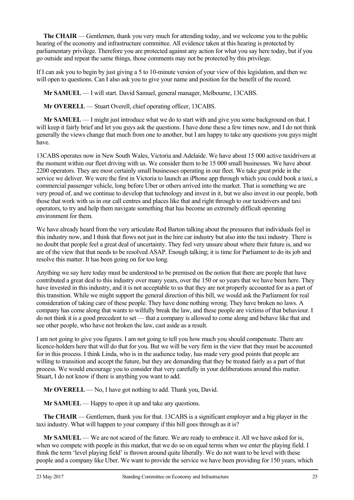**The CHAIR** — Gentlemen, thank you very much for attending today, and we welcome you to the public hearing of the economy and infrastructure committee. All evidence taken at this hearing is protected by parliamentary privilege. Therefore you are protected against any action for what you say here today, but if you go outside and repeat the same things, those comments may not be protected by this privilege.

If I can ask you to begin by just giving a 5 to 10-minute version of your view of this legislation, and then we will open to questions. Can I also ask you to give your name and position for the benefit of the record.

**Mr SAMUEL** — I will start. David Samuel, general manager, Melbourne, 13CABS.

**Mr OVERELL** — Stuart Overell, chief operating officer, 13CABS.

**Mr SAMUEL** — I might just introduce what we do to start with and give you some background on that. I will keep it fairly brief and let you guys ask the questions. I have done these a few times now, and I do not think generally the views change that much from one to another, but I am happy to take any questions you guys might have.

13CABS operates now in New South Wales, Victoria and Adelaide. We have about 15 000 active taxidrivers at the moment within our fleet driving with us. We consider them to be 15 000 small businesses. We have about 2200 operators. They are most certainly small businesses operating in our fleet. We take great pride in the service we deliver. We were the first in Victoria to launch an iPhone app through which you could book a taxi, a commercial passenger vehicle, long before Uber or others arrived into the market. That is something we are very proud of, and we continue to develop that technology and invest in it, but we also invest in our people, both those that work with us in our call centres and places like that and right through to our taxidrivers and taxi operators, to try and help them navigate something that has become an extremely difficult operating environment for them.

We have already heard from the very articulate Rod Barton talking about the pressures that individuals feel in this industry now, and I think that flows not just in the hire car industry but also into the taxi industry. There is no doubt that people feel a great deal of uncertainty. They feel very unsure about where their future is, and we are of the view that that needs to be resolved ASAP. Enough talking; it is time for Parliament to do its job and resolve this matter. It has been going on for too long.

Anything we say here today must be understood to be premised on the notion that there are people that have contributed a great deal to this industry over many years, over the 150 or so years that we have been here. They have invested in this industry, and it is not acceptable to us that they are not properly accounted for as a part of this transition. While we might support the general direction of this bill, we would ask the Parliament for real consideration of taking care of these people. They have done nothing wrong. They have broken no laws. A company has come along that wants to wilfully break the law, and these people are victims of that behaviour. I do not think it is a good precedent to set — that a company is allowed to come along and behave like that and see other people, who have not broken the law, cast aside as a result.

I am not going to give you figures. I am not going to tell you how much you should compensate. There are licence-holders here that will do that for you. But we will be very firm in the view that they must be accounted for in this process. I think Linda, who is in the audience today, has made very good points that people are willing to transition and accept the future, but they are demanding that they be treated fairly as a part of that process. We would encourage you to consider that very carefully in your deliberations around this matter. Stuart, I do not know if there is anything you want to add.

**Mr OVERELL** — No, I have got nothing to add. Thank you, David.

**Mr SAMUEL** — Happy to open it up and take any questions.

**The CHAIR** — Gentlemen, thank you for that. 13CABS is a significant employer and a big player in the taxi industry. What will happen to your company if this bill goes through as it is?

**Mr SAMUEL** — We are not scared of the future. We are ready to embrace it. All we have asked for is, when we compete with people in this market, that we do so on equal terms when we enter the playing field. I think the term 'level playing field' is thrown around quite liberally. We do not want to be level with these people and a company like Uber. We want to provide the service we have been providing for 150 years, which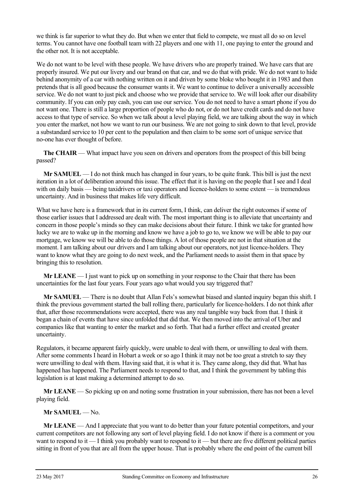we think is far superior to what they do. But when we enter that field to compete, we must all do so on level terms. You cannot have one football team with 22 players and one with 11, one paying to enter the ground and the other not. It is not acceptable.

We do not want to be level with these people. We have drivers who are properly trained. We have cars that are properly insured. We put our livery and our brand on that car, and we do that with pride. We do not want to hide behind anonymity of a car with nothing written on it and driven by some bloke who bought it in 1983 and then pretends that is all good because the consumer wants it. We want to continue to deliver a universally accessible service. We do not want to just pick and choose who we provide that service to. We will look after our disability community. If you can only pay cash, you can use our service. You do not need to have a smart phone if you do not want one. There is still a large proportion of people who do not, or do not have credit cards and do not have access to that type of service. So when we talk about a level playing field, we are talking about the way in which you enter the market, not how we want to run our business. We are not going to sink down to that level, provide a substandard service to 10 per cent to the population and then claim to be some sort of unique service that no-one has ever thought of before.

**The CHAIR** — What impact have you seen on drivers and operators from the prospect of this bill being passed?

**Mr SAMUEL** — I do not think much has changed in four years, to be quite frank. This bill is just the next iteration in a lot of deliberation around this issue. The effect that it is having on the people that I see and I deal with on daily basis — being taxidrivers or taxi operators and licence-holders to some extent — is tremendous uncertainty. And in business that makes life very difficult.

What we have here is a framework that in its current form, I think, can deliver the right outcomes if some of those earlier issues that I addressed are dealt with. The most important thing is to alleviate that uncertainty and concern in those people's minds so they can make decisions about their future. I think we take for granted how lucky we are to wake up in the morning and know we have a job to go to, we know we will be able to pay our mortgage, we know we will be able to do those things. A lot of those people are not in that situation at the moment. I am talking about our drivers and I am talking about our operators, not just licence-holders. They want to know what they are going to do next week, and the Parliament needs to assist them in that space by bringing this to resolution.

**Mr LEANE** — I just want to pick up on something in your response to the Chair that there has been uncertainties for the last four years. Four years ago what would you say triggered that?

**Mr SAMUEL** — There is no doubt that Allan Fels's somewhat biased and slanted inquiry began this shift. I think the previous government started the ball rolling there, particularly for licence-holders. I do not think after that, after those recommendations were accepted, there was any real tangible way back from that. I think it began a chain of events that have since unfolded that did that. We then moved into the arrival of Uber and companies like that wanting to enter the market and so forth. That had a further effect and created greater uncertainty.

Regulators, it became apparent fairly quickly, were unable to deal with them, or unwilling to deal with them. After some comments I heard in Hobart a week or so ago I think it may not be too great a stretch to say they were unwilling to deal with them. Having said that, it is what it is. They came along, they did that. What has happened has happened. The Parliament needs to respond to that, and I think the government by tabling this legislation is at least making a determined attempt to do so.

**Mr LEANE** — So picking up on and noting some frustration in your submission, there has not been a level playing field.

### **Mr SAMUEL** — No.

**Mr LEANE** — And I appreciate that you want to do better than your future potential competitors, and your current competitors are not following any sort of level playing field. I do not know if there is a comment or you want to respond to it — I think you probably want to respond to it — but there are five different political parties sitting in front of you that are all from the upper house. That is probably where the end point of the current bill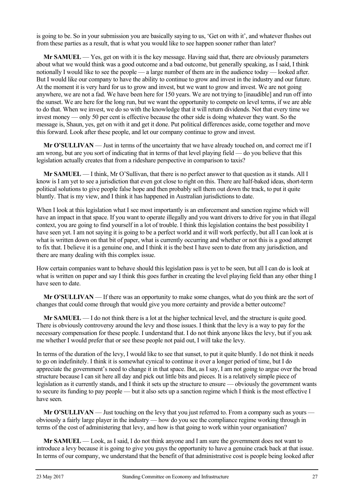is going to be. So in your submission you are basically saying to us, 'Get on with it', and whatever flushes out from these parties as a result, that is what you would like to see happen sooner rather than later?

**Mr SAMUEL** — Yes, get on with it is the key message. Having said that, there are obviously parameters about what we would think was a good outcome and a bad outcome, but generally speaking, as I said, I think notionally I would like to see the people — a large number of them are in the audience today — looked after. But I would like our company to have the ability to continue to grow and invest in the industry and our future. At the moment it is very hard for us to grow and invest, but we want to grow and invest. We are not going anywhere, we are not a fad. We have been here for 150 years. We are not trying to [inaudible] and run off into the sunset. We are here for the long run, but we want the opportunity to compete on level terms, if we are able to do that. When we invest, we do so with the knowledge that it will return dividends. Not that every time we invest money — only 50 per cent is effective because the other side is doing whatever they want. So the message is, Shaun, yes, get on with it and get it done. Put political differences aside, come together and move this forward. Look after these people, and let our company continue to grow and invest.

**Mr O'SULLIVAN** — Just in terms of the uncertainty that we have already touched on, and correct me if I am wrong, but are you sort of indicating that in terms of that level playing field — do you believe that this legislation actually creates that from a rideshare perspective in comparison to taxis?

**Mr SAMUEL** — I think, Mr O'Sullivan, that there is no perfect answer to that question as it stands. All I know is I am yet to see a jurisdiction that even got close to right on this. There are half-baked ideas, short-term political solutions to give people false hope and then probably sell them out down the track, to put it quite bluntly. That is my view, and I think it has happened in Australian jurisdictions to date.

When I look at this legislation what I see most importantly is an enforcement and sanction regime which will have an impact in that space. If you want to operate illegally and you want drivers to drive for you in that illegal context, you are going to find yourself in a lot of trouble. I think this legislation contains the best possibility I have seen yet. I am not saying it is going to be a perfect world and it will work perfectly, but all I can look at is what is written down on that bit of paper, what is currently occurring and whether or not this is a good attempt to fix that. I believe it is a genuine one, and I think it is the best I have seen to date from any jurisdiction, and there are many dealing with this complex issue.

How certain companies want to behave should this legislation pass is yet to be seen, but all I can do is look at what is written on paper and say I think this goes further in creating the level playing field than any other thing I have seen to date.

**Mr O'SULLIVAN** — If there was an opportunity to make some changes, what do you think are the sort of changes that could come through that would give you more certainty and provide a better outcome?

**Mr SAMUEL** — I do not think there is a lot at the higher technical level, and the structure is quite good. There is obviously controversy around the levy and those issues. I think that the levy is a way to pay for the necessary compensation for these people. I understand that. I do not think anyone likes the levy, but if you ask me whether I would prefer that or see these people not paid out, I will take the levy.

In terms of the duration of the levy, I would like to see that sunset, to put it quite bluntly. I do not think it needs to go on indefinitely. I think it is somewhat cynical to continue it over a longer period of time, but I do appreciate the government's need to change it in that space. But, as I say, I am not going to argue over the broad structure because I can sit here all day and pick out little bits and pieces. It is a relatively simple piece of legislation as it currently stands, and I think it sets up the structure to ensure — obviously the government wants to secure its funding to pay people — but it also sets up a sanction regime which I think is the most effective I have seen.

**Mr O'SULLIVAN** — Just touching on the levy that you just referred to. From a company such as yours obviously a fairly large player in the industry — how do you see the compliance regime working through in terms of the cost of administering that levy, and how is that going to work within your organisation?

**Mr SAMUEL** — Look, as I said, I do not think anyone and I am sure the government does not want to introduce a levy because it is going to give you guys the opportunity to have a genuine crack back at that issue. In terms of our company, we understand that the benefit of that administrative cost is people being looked after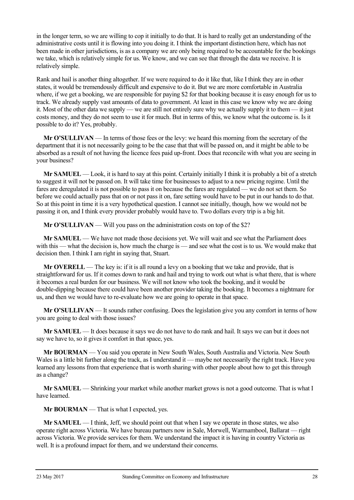in the longer term, so we are willing to cop it initially to do that. It is hard to really get an understanding of the administrative costs until it is flowing into you doing it. I think the important distinction here, which has not been made in other jurisdictions, is as a company we are only being required to be accountable for the bookings we take, which is relatively simple for us. We know, and we can see that through the data we receive. It is relatively simple.

Rank and hail is another thing altogether. If we were required to do it like that, like I think they are in other states, it would be tremendously difficult and expensive to do it. But we are more comfortable in Australia where, if we get a booking, we are responsible for paying \$2 for that booking because it is easy enough for us to track. We already supply vast amounts of data to government. At least in this case we know why we are doing it. Most of the other data we supply — we are still not entirely sure why we actually supply it to them — it just costs money, and they do not seem to use it for much. But in terms of this, we know what the outcome is. Is it possible to do it? Yes, probably.

**Mr O'SULLIVAN** — In terms of those fees or the levy: we heard this morning from the secretary of the department that it is not necessarily going to be the case that that will be passed on, and it might be able to be absorbed as a result of not having the licence fees paid up-front. Does that reconcile with what you are seeing in your business?

**Mr SAMUEL** — Look, it is hard to say at this point. Certainly initially I think it is probably a bit of a stretch to suggest it will not be passed on. It will take time for businesses to adjust to a new pricing regime. Until the fares are deregulated it is not possible to pass it on because the fares are regulated — we do not set them. So before we could actually pass that on or not pass it on, fare setting would have to be put in our hands to do that. So at this point in time it is a very hypothetical question. I cannot see initially, though, how we would not be passing it on, and I think every provider probably would have to. Two dollars every trip is a big hit.

**Mr O'SULLIVAN** — Will you pass on the administration costs on top of the \$2?

**Mr SAMUEL** — We have not made those decisions yet. We will wait and see what the Parliament does with this — what the decision is, how much the charge is — and see what the cost is to us. We would make that decision then. I think I am right in saying that, Stuart.

**Mr OVERELL** — The key is: if it is all round a levy on a booking that we take and provide, that is straightforward for us. If it comes down to rank and hail and trying to work out what is what there, that is where it becomes a real burden for our business. We will not know who took the booking, and it would be double-dipping because there could have been another provider taking the booking. It becomes a nightmare for us, and then we would have to re-evaluate how we are going to operate in that space.

**Mr O'SULLIVAN** — It sounds rather confusing. Does the legislation give you any comfort in terms of how you are going to deal with those issues?

**Mr SAMUEL** — It does because it says we do not have to do rank and hail. It says we can but it does not say we have to, so it gives it comfort in that space, yes.

**Mr BOURMAN** — You said you operate in New South Wales, South Australia and Victoria. New South Wales is a little bit further along the track, as I understand it — maybe not necessarily the right track. Have you learned any lessons from that experience that is worth sharing with other people about how to get this through as a change?

**Mr SAMUEL** — Shrinking your market while another market grows is not a good outcome. That is what I have learned.

**Mr BOURMAN** — That is what I expected, yes.

**Mr SAMUEL** — I think, Jeff, we should point out that when I say we operate in those states, we also operate right across Victoria. We have bureau partners now in Sale, Morwell, Warrnambool, Ballarat — right across Victoria. We provide services for them. We understand the impact it is having in country Victoria as well. It is a profound impact for them, and we understand their concerns.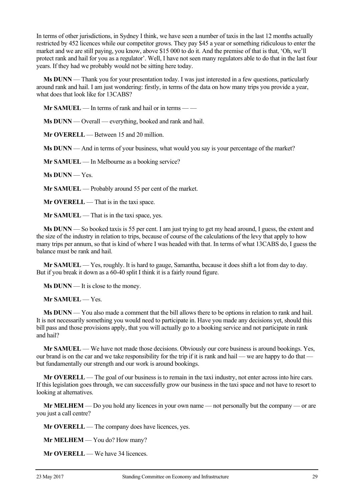In terms of other jurisdictions, in Sydney I think, we have seen a number of taxis in the last 12 months actually restricted by 452 licences while our competitor grows. They pay \$45 a year or something ridiculous to enter the market and we are still paying, you know, above \$15 000 to do it. And the premise of that is that, 'Oh, we'll protect rank and hail for you as a regulator'. Well, I have not seen many regulators able to do that in the last four years. If they had we probably would not be sitting here today.

**Ms DUNN** — Thank you for your presentation today. I was just interested in a few questions, particularly around rank and hail. I am just wondering: firstly, in terms of the data on how many trips you provide a year, what does that look like for 13CABS?

**Mr SAMUEL** — In terms of rank and hail or in terms — —

**Ms DUNN** — Overall — everything, booked and rank and hail.

**Mr OVERELL** — Between 15 and 20 million.

**Ms DUNN** — And in terms of your business, what would you say is your percentage of the market?

**Mr SAMUEL** — In Melbourne as a booking service?

**Ms DUNN** — Yes.

**Mr SAMUEL** — Probably around 55 per cent of the market.

**Mr OVERELL** — That is in the taxi space.

**Mr SAMUEL** — That is in the taxi space, yes.

**Ms DUNN** — So booked taxis is 55 per cent. I am just trying to get my head around, I guess, the extent and the size of the industry in relation to trips, because of course of the calculations of the levy that apply to how many trips per annum, so that is kind of where I was headed with that. In terms of what 13CABS do, I guess the balance must be rank and hail.

**Mr SAMUEL** — Yes, roughly. It is hard to gauge, Samantha, because it does shift a lot from day to day. But if you break it down as a 60-40 split I think it is a fairly round figure.

**Ms DUNN** — It is close to the money.

**Mr SAMUEL** — Yes.

**Ms DUNN** — You also made a comment that the bill allows there to be options in relation to rank and hail. It is not necessarily something you would need to participate in. Have you made any decisions yet, should this bill pass and those provisions apply, that you will actually go to a booking service and not participate in rank and hail?

**Mr SAMUEL** — We have not made those decisions. Obviously our core business is around bookings. Yes, our brand is on the car and we take responsibility for the trip if it is rank and hail — we are happy to do that but fundamentally our strength and our work is around bookings.

**Mr OVERELL** — The goal of our business is to remain in the taxi industry, not enter across into hire cars. If this legislation goes through, we can successfully grow our business in the taxi space and not have to resort to looking at alternatives.

**Mr MELHEM** — Do you hold any licences in your own name — not personally but the company — or are you just a call centre?

**Mr OVERELL** — The company does have licences, yes.

**Mr MELHEM** — You do? How many?

**Mr OVERELL** — We have 34 licences.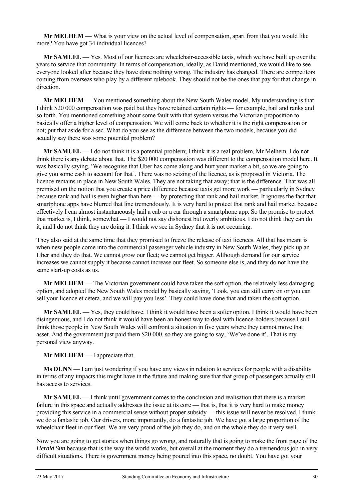**Mr MELHEM** — What is your view on the actual level of compensation, apart from that you would like more? You have got 34 individual licences?

**Mr SAMUEL** — Yes. Most of our licences are wheelchair-accessible taxis, which we have built up over the years to service that community. In terms of compensation, ideally, as David mentioned, we would like to see everyone looked after because they have done nothing wrong. The industry has changed. There are competitors coming from overseas who play by a different rulebook. They should not be the ones that pay for that change in direction.

**Mr MELHEM** — You mentioned something about the New South Wales model. My understanding is that I think \$20 000 compensation was paid but they have retained certain rights — for example, hail and ranks and so forth. You mentioned something about some fault with that system versus the Victorian proposition to basically offer a higher level of compensation. We will come back to whether it is the right compensation or not; put that aside for a sec. What do you see as the difference between the two models, because you did actually say there was some potential problem?

**Mr SAMUEL** — I do not think it is a potential problem; I think it is a real problem, Mr Melhem. I do not think there is any debate about that. The \$20 000 compensation was different to the compensation model here. It was basically saying, 'We recognise that Uber has come along and hurt your market a bit, so we are going to give you some cash to account for that'. There was no seizing of the licence, as is proposed in Victoria. The licence remains in place in New South Wales. They are not taking that away; that is the difference. That was all premised on the notion that you create a price difference because taxis get more work — particularly in Sydney because rank and hail is even higher than here — by protecting that rank and hail market. It ignores the fact that smartphone apps have blurred that line tremendously. It is very hard to protect that rank and hail market because effectively I can almost instantaneously hail a cab or a car through a smartphone app. So the promise to protect that market is, I think, somewhat — I would not say dishonest but overly ambitious. I do not think they can do it, and I do not think they are doing it. I think we see in Sydney that it is not occurring.

They also said at the same time that they promised to freeze the release of taxi licences. All that has meant is when new people come into the commercial passenger vehicle industry in New South Wales, they pick up an Uber and they do that. We cannot grow our fleet; we cannot get bigger. Although demand for our service increases we cannot supply it because cannot increase our fleet. So someone else is, and they do not have the same start-up costs as us.

**Mr MELHEM** — The Victorian government could have taken the soft option, the relatively less damaging option, and adopted the New South Wales model by basically saying, 'Look, you can still carry on or you can sell your licence et cetera, and we will pay you less'. They could have done that and taken the soft option.

**Mr SAMUEL** — Yes, they could have. I think it would have been a softer option. I think it would have been disingenuous, and I do not think it would have been an honest way to deal with licence-holders because I still think those people in New South Wales will confront a situation in five years where they cannot move that asset. And the government just paid them \$20 000, so they are going to say, 'We've done it'. That is my personal view anyway.

### **Mr MELHEM** — I appreciate that.

**Ms DUNN** — I am just wondering if you have any views in relation to services for people with a disability in terms of any impacts this might have in the future and making sure that that group of passengers actually still has access to services.

**Mr SAMUEL** — I think until government comes to the conclusion and realisation that there is a market failure in this space and actually addresses the issue at its core — that is, that it is very hard to make money providing this service in a commercial sense without proper subsidy — this issue will never be resolved. I think we do a fantastic job. Our drivers, more importantly, do a fantastic job. We have got a large proportion of the wheelchair fleet in our fleet. We are very proud of the job they do, and on the whole they do it very well.

Now you are going to get stories when things go wrong, and naturally that is going to make the front page of the *Herald Sun* because that is the way the world works, but overall at the moment they do a tremendous job in very difficult situations. There is government money being poured into this space, no doubt. You have got your